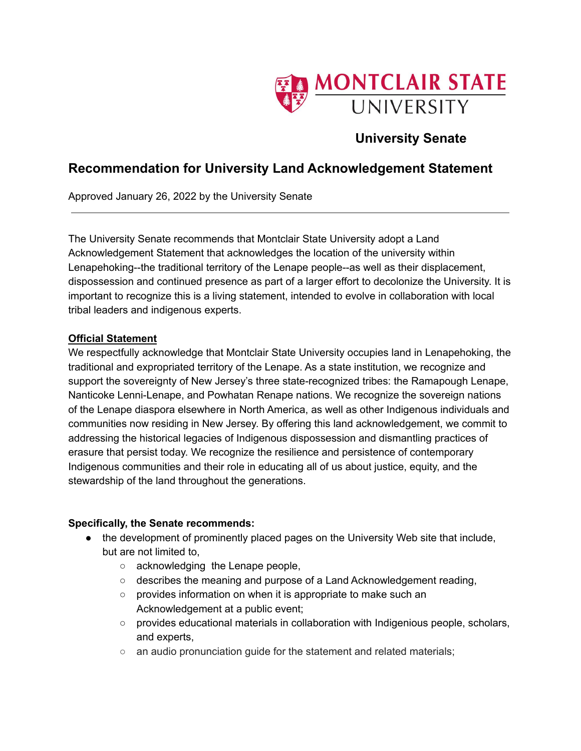

# **University Senate**

## **Recommendation for University Land Acknowledgement Statement**

Approved January 26, 2022 by the University Senate

The University Senate recommends that Montclair State University adopt a Land Acknowledgement Statement that acknowledges the location of the university within Lenapehoking--the traditional territory of the Lenape people--as well as their displacement, dispossession and continued presence as part of a larger effort to decolonize the University. It is important to recognize this is a living statement, intended to evolve in collaboration with local tribal leaders and indigenous experts.

### **Official Statement**

We respectfully acknowledge that Montclair State University occupies land in Lenapehoking, the traditional and expropriated territory of the Lenape. As a state institution, we recognize and support the sovereignty of New Jersey's three state-recognized tribes: the Ramapough Lenape, Nanticoke Lenni-Lenape, and Powhatan Renape nations. We recognize the sovereign nations of the Lenape diaspora elsewhere in North America, as well as other Indigenous individuals and communities now residing in New Jersey. By offering this land acknowledgement, we commit to addressing the historical legacies of Indigenous dispossession and dismantling practices of erasure that persist today. We recognize the resilience and persistence of contemporary Indigenous communities and their role in educating all of us about justice, equity, and the stewardship of the land throughout the generations.

### **Specifically, the Senate recommends:**

- the development of prominently placed pages on the University Web site that include, but are not limited to,
	- acknowledging the Lenape people,
	- $\circ$  describes the meaning and purpose of a Land Acknowledgement reading,
	- provides information on when it is appropriate to make such an Acknowledgement at a public event;
	- provides educational materials in collaboration with Indigenious people, scholars, and experts,
	- an audio pronunciation guide for the statement and related materials;